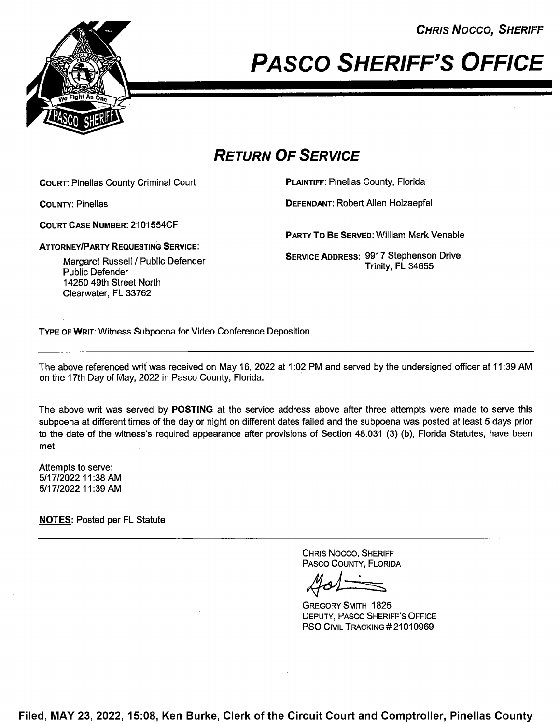CHRIS Nocco, SHERIFF



## PASCO SHERIFF'S OFFICE

## RETURN OF SERVICE

COURT: Pinellas County Criminal Court **PLAINTIFF: Pinellas County, Florida** 

ATTORNEYIPARTY REQUESTING SERVICE:

COURT CASE NUMBER: 2101554CF

COUNTY: Pinellas DEFENDANT: Robert Allen Holzaepfel

PARTY TO BE SERVED: William Mark Venable

SERVICE ADDRESS: 9917 Stephenson Drive Trinity, FL 34655

Margaret Russell / Public Defender Public Defender 14250 49th Street North Clearwater, FL 33762

TYPE 0F WRIT: Witness Subpoena for Video Conference Deposition

The above referenced writ was received on May 16, 2022 at 1:02 PM and served by the undersigned officer at 11:39 AM on the 17th Day of May, 2022 in Pasco County, Florida.

The above writ was served by POSTING at the service address above after three attempts were made to serve this subpoena at different times of the day or night on different dates failed and the subpoena was posted at least 5 days prior to the date of the witness's required appearance after provisions of Section 48.031 (3) (b), Florida Statutes, have been met.

Attempts to serve: 5/1 7/2022 11:38 AM 5/1 7/2022 11:39 AM

NOTES: Posted per FL Statute

. CHRIS Nocco, SHERIFF PAsco COUNTY, FLORIDA

GREGORY SMITH 1825 DEPUTY, PASCO SHERIFF'S OFFICE **PSO CIVIL TRACKING # 21010969** 

Filed, MAY 23, 2022, 15:08, Ken Burke, Clerk of the Circuit Court and Comptroller, Pinellas County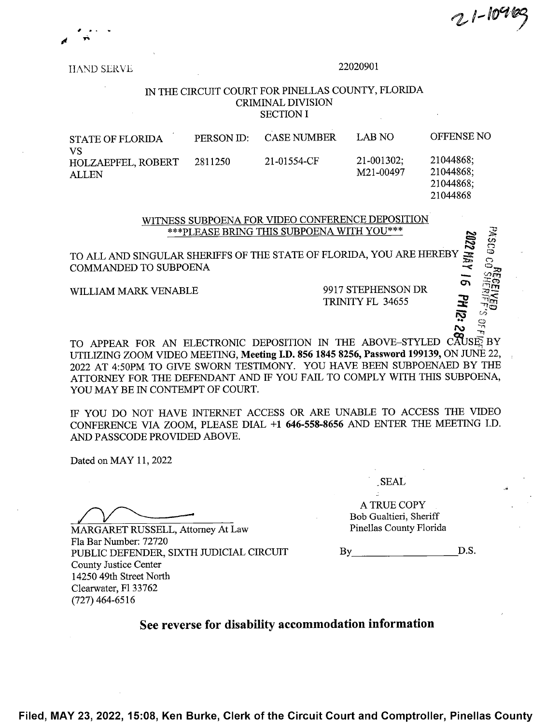$21 - 1046$ 

 $\overline{\mathbf{r}}$ 

2:21 Hd 9

 $\approx$ 

HAND SERVE 22020901

## 1N THE CIRCUIT COURT FOR PINELLAS COUNTY, FLORIDA CRIMINAL DIVISION SECTION I

STATE OF FLORIDA PERSON ID: CASE NUMBER LAB NO OFFENSE NO VS HOLZAEPFEL, ROBERT 2811250 21-01554-CF 21-001302; 21044868;<br>ALLEN M21-00497 21044868; ALLEN 21044868;<br>M21-00497 21044868; 21044868; 21044868

> WITNESS SUBPOENA FOR VIDEO CONFERENCE DEPOSITION. \*\*\*PLEASE BRING THIS SUBPOENA WITH YOU\*\*\*

 $\frac{1}{2}$ To ALL AND SINGULAR SHERIFFS 0F THE STATE 0F FLORIDA, YOU ARE HEREBY COMMANDED TO SUBPOENA

WILLIAM MARK VENABLE 9917 STEPHENSON DR

TRINITY FL 34655

TO APPEAR FOR AN ELECTRONIC DEPOSITION IN THE ABOVE–STYLED CAUSE BY UTILIZING ZOOM VIDEO MEETING, Meeting I.D. <sup>856</sup> <sup>1845</sup> 8256, Password 199139, ON JUNE 22, 2022 AT 4:50PM TO GIVE SWORN TESTIMONY. YOU HAVE BEEN SUBPOENAED BY THE ATTORNEY FOR THE DEFENDANT AND IF YOU FAIL TO COMPLY WITH THIS SUBPOENA, YOU MAY BE IN CONTEMPT OF COURT.

IF YOU DO NOT HAVE INTERNET ACCESS OR ARE UNABLE TO ACCESS THE VIDEO CONFERENCE VIA ZOOM, PLEASE DLAL +1 646-558-8656 AND ENTER THE MEETING I.D. AND PASSCODE PROVIDED ABOVE.

Dated on MAY 11, <sup>2022</sup>

MARGARET RUSSELL, Attorney At Law Fla Bar Number: 72720 PUBLIC DEFENDER, SIXTH JUDICIAL CIRCUIT County Justice Center 14250 49th Street North Clearwater, F1 33762  $(727)$  464-6516

\_SEAL .

A TRUE COPY Bob Gualtieri, Sheriff Pinellas County Florida

D.S. By <u>the second</u>

See reverse for disability accommodation information

Filed, MAY 23, 2022, 15:08, Ken Burke, Clerk of the Circuit Court and Comptroller, Pinellas County